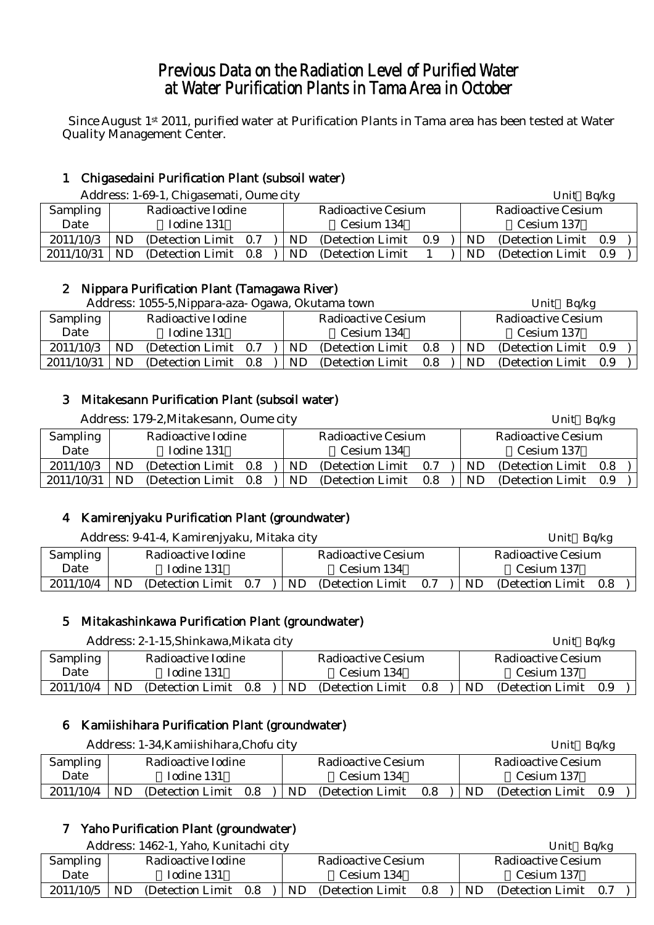# Previous Data on the Radiation Level of Purified Water at Water Purification Plants in Tama Area in October

Since August 1st 2011, purified water at Purification Plants in Tama area has been tested at Water Quality Management Center.

# 1 Chigasedaini Purification Plant (subsoil water)

Address: 1-69-1, Chigasemati, Oume city Unit Bolkg Unit Bolkg

|            | <i>H</i> Ray Coo, T oo T, Onigabelhati, Ounit tit j |                       |  |  |            |                    |     |            |           | UIIIU UUIR            |     |  |  |
|------------|-----------------------------------------------------|-----------------------|--|--|------------|--------------------|-----|------------|-----------|-----------------------|-----|--|--|
| Sampling   | Radioactive Iodine                                  |                       |  |  |            | Radioactive Cesium |     |            |           | Radioactive Cesium    |     |  |  |
| Date       |                                                     | Iodine 131            |  |  | Cesium 134 |                    |     | Cesium 137 |           |                       |     |  |  |
| 2011/10/3  | ND                                                  | (Detection Limit 0.7) |  |  | ND.        | (Detection Limit)  | 0.9 |            | <b>ND</b> | (Detection Limit 0.9) |     |  |  |
| 2011/10/31 | ND                                                  | (Detection Limit 0.8) |  |  | ND         | (Detection Limit)  |     |            | ND        | (Detection Limit)     | 0.9 |  |  |

#### 2 Nippara Purification Plant (Tamagawa River)

|            |     | Address: 1055-5, Nippara-aza- Ogawa, Okutama town |  |     |                           |         |  |     | Unit $Bq/kg$              |     |  |
|------------|-----|---------------------------------------------------|--|-----|---------------------------|---------|--|-----|---------------------------|-----|--|
| Sampling   |     | Radioactive Iodine                                |  |     | <b>Radioactive Cesium</b> |         |  |     | <b>Radioactive Cesium</b> |     |  |
| Date       |     | Iodine 131                                        |  |     | Cesium 134                |         |  |     | Cesium 137                |     |  |
| 2011/10/3  | ND  | (Detection Limit 0.7)                             |  | ND. | (Detection Limit)         | 0.8     |  | ND. | (Detection Limit 0.9)     |     |  |
| 2011/10/31 | ND. | (Detection Limit 0.8)                             |  | ND. | (Detection Limit)         | $0.8\,$ |  | ND  | (Detection Limit)         | 0.9 |  |

# 3 Mitakesann Purification Plant (subsoil water)

Address: 179-2. Mitakesann, Oume city Unit Bq/kg Unit Bq/kg

| <b>Sampling</b> |           | Radioactive Iodine    |  |     | <b>Radioactive Cesium</b> |     |           | <b>Radioactive Cesium</b> |     |
|-----------------|-----------|-----------------------|--|-----|---------------------------|-----|-----------|---------------------------|-----|
| Date            |           | Iodine 131            |  |     | Cesium 134                |     |           | Cesium 137                |     |
| 2011/10/3       | ND        | (Detection Limit 0.8) |  | ND. | (Detection Limit)         | 0.7 | <b>ND</b> | (Detection Limit)         | 0.8 |
| 2011/10/31      | <b>ND</b> | (Detection Limit 0.8) |  | ND. | (Detection Limit)         | 0.8 | ND        | (Detection Limit)         | 0.9 |

# 4 Kamirenjyaku Purification Plant (groundwater)

Address: 9-41-4, Kamirenjyaku, Mitaka city Unit Bq/kg

| <b>Sampling</b> |    | Radioactive Iodine |     |    | Radioactive Cesium |     |    | <b>Radioactive Cesium</b> |  |
|-----------------|----|--------------------|-----|----|--------------------|-----|----|---------------------------|--|
| Date            |    | Iodine 131         |     |    | Cesium 134         |     |    | Cesium 137                |  |
| 2011/10/4       | ND | (Detection Limit)  | 0.7 | ND | (Detection Limit)  | 0.7 | ND | (Detection Limit 0.8)     |  |

# 5 Mitakashinkawa Purification Plant (groundwater)

|                 |                    | Address: 2-1-15, Shinkawa, Mikata city |     |           |                    |     |                    | Unit $Bq/kg$          |  |  |
|-----------------|--------------------|----------------------------------------|-----|-----------|--------------------|-----|--------------------|-----------------------|--|--|
| <b>Sampling</b> | Radioactive Iodine |                                        |     |           | Radioactive Cesium |     | Radioactive Cesium |                       |  |  |
| Date            | Iodine 131         |                                        |     |           | Cesium 134         |     |                    | Cesium 137            |  |  |
| 2011/10/4       | ND                 | (Detection Limit)                      | 0.8 | <b>ND</b> | (Detection Limit)  | 0.8 | ND.                | (Detection Limit 0.9) |  |  |

#### 6 Kamiishihara Purification Plant (groundwater)

|           |                    | Address: 1-34, Kamiishihara, Chofu city |     | Unit $Bq/kg$ |                           |     |                    |                       |  |  |
|-----------|--------------------|-----------------------------------------|-----|--------------|---------------------------|-----|--------------------|-----------------------|--|--|
| Sampling  | Radioactive Iodine |                                         |     |              | <b>Radioactive Cesium</b> |     | Radioactive Cesium |                       |  |  |
| Date      | Iodine 131         |                                         |     |              | Cesium 134                |     |                    | Cesium 137            |  |  |
| 2011/10/4 | ND.                | (Detection Limit)                       | 0.8 | ND           | (Detection Limit)         | 0.8 | ND.                | (Detection Limit 0.9) |  |  |

# 7 Yaho Purification Plant (groundwater)

|           |                    | Address: 1462-1, Yaho, Kunitachi city |  |           |                    |     | Unit $Bq/kg$       |                       |  |  |
|-----------|--------------------|---------------------------------------|--|-----------|--------------------|-----|--------------------|-----------------------|--|--|
| Sampling  | Radioactive Iodine |                                       |  |           | Radioactive Cesium |     | Radioactive Cesium |                       |  |  |
| Date      |                    | Iodine 131                            |  |           | Cesium 134         |     |                    | Cesium 137            |  |  |
| 2011/10/5 | ND                 | (Detection Limit 0.8)                 |  | <b>ND</b> | (Detection Limit)  | 0.8 | ND.                | (Detection Limit 0.7) |  |  |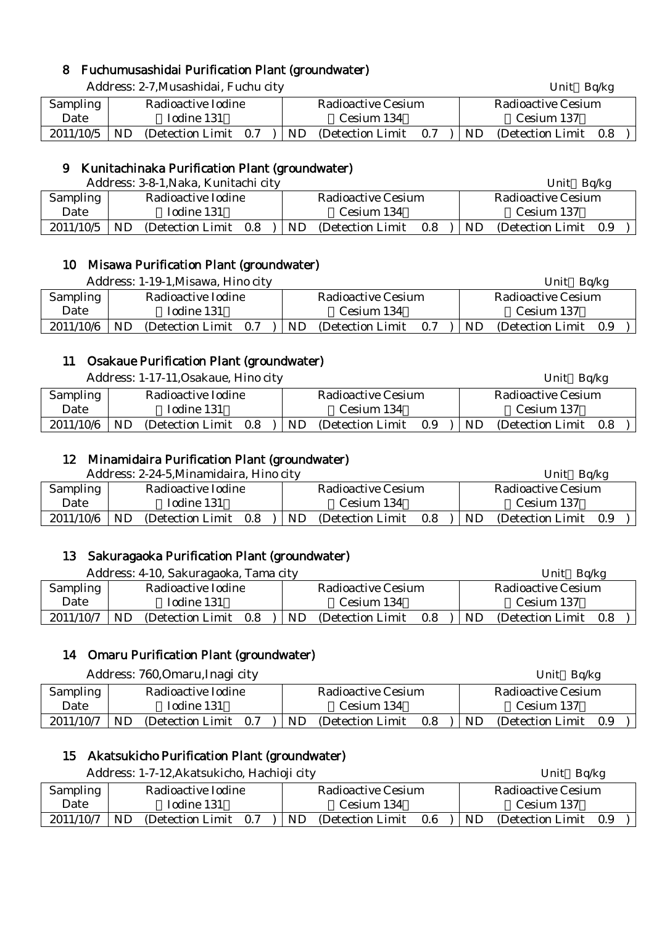# 8 Fuchumusashidai Purification Plant (groundwater)

|           |                    | Address: 2-7, Musashidai, Fuchu city |  |     |                           |     |     | Unit $Bq/kg$              |     |  |  |  |
|-----------|--------------------|--------------------------------------|--|-----|---------------------------|-----|-----|---------------------------|-----|--|--|--|
| Sampling  | Radioactive Iodine |                                      |  |     | <b>Radioactive Cesium</b> |     |     | <b>Radioactive Cesium</b> |     |  |  |  |
| Date      | Iodine 131         |                                      |  |     | Cesium 134                |     |     | Cesium 137                |     |  |  |  |
| 2011/10/5 | <b>ND</b>          | (Detection Limit 0.7)                |  | ND. | (Detection Limit)         | 0.7 | ND. | (Detection Limit)         | 0.8 |  |  |  |

#### 9 Kunitachinaka Purification Plant (groundwater)

|                                       |            | Address: 3-8-1, Naka, Kunitachi city |         |                    |                   |                    |     | Unit              | Bg/kg |  |
|---------------------------------------|------------|--------------------------------------|---------|--------------------|-------------------|--------------------|-----|-------------------|-------|--|
| <b>Sampling</b><br>Radioactive Iodine |            |                                      |         | Radioactive Cesium |                   | Radioactive Cesium |     |                   |       |  |
| Date                                  | Iodine 131 |                                      |         | Cesium 134         |                   |                    |     | Cesium 137        |       |  |
| 2011/10/5                             | ND.        | (Detection Limit)                    | $0.8\,$ | ND                 | (Detection Limit) | 0.8                | ND. | (Detection Limit) | 0.9   |  |

#### 10 Misawa Purification Plant (groundwater)

|                                |            | Address: 1-19-1, Misawa, Hino city |     |                    |                   |     |  |                    | Unit                  | Bq/kg |  |
|--------------------------------|------------|------------------------------------|-----|--------------------|-------------------|-----|--|--------------------|-----------------------|-------|--|
| Sampling<br>Radioactive Iodine |            |                                    |     | Radioactive Cesium |                   |     |  | Radioactive Cesium |                       |       |  |
| Date                           | Iodine 131 |                                    |     | Cesium 134         |                   |     |  |                    | Cesium 137            |       |  |
| 2011/10/6                      | ND         | (Detection Limit)                  | 0.7 | ND                 | (Detection Limit) | 0.7 |  | ND.                | (Detection Limit 0.9) |       |  |

#### 11 Osakaue Purification Plant (groundwater)

Address: 1-17-11, Osakaue, Hino city Unit Bq/kg

| <b>Sampling</b> |           | Radioactive Iodine |     |    | Radioactive Cesium |     |    | Radioactive Cesium |     |  |
|-----------------|-----------|--------------------|-----|----|--------------------|-----|----|--------------------|-----|--|
| Date            |           | Iodine 131         |     |    | Cesium 134         |     |    | Cesium 137         |     |  |
| 2011/10/6       | <b>ND</b> | (Detection Limit)  | 0.8 | ND | (Detection Limit)  | 0.9 | ND | (Detection Limit)  | 0.8 |  |

#### 12 Minamidaira Purification Plant (groundwater)

Address: 2-24-5 Minamidaira, Hino city **Example 2018** Unit Bolkg

|                 |                    | $\mu$ radi $\cos \theta$ $\approx \mu$ . $\sigma$ , $\sigma$ intrigational dividend $\sigma$ |     |     | ◡…                 | <b>DUILE</b> |                    |                   |       |  |  |
|-----------------|--------------------|----------------------------------------------------------------------------------------------|-----|-----|--------------------|--------------|--------------------|-------------------|-------|--|--|
| <b>Sampling</b> | Radioactive Iodine |                                                                                              |     |     | Radioactive Cesium |              | Radioactive Cesium |                   |       |  |  |
| Date            | Iodine 131         |                                                                                              |     |     | Cesium 134         |              |                    | Cesium 137        |       |  |  |
| 2011/10/6       | ND                 | (Detection Limit)                                                                            | 0.8 | ND. | (Detection Limit)  | 0.8          | ND.                | (Detection Limit) | - 0.9 |  |  |

#### 13 Sakuragaoka Purification Plant (groundwater)

| Address: 4-10, Sakuragaoka, Tama city |                    |                   |         |  |     |                    |     | Bq/kg<br>Unit      |                   |     |  |
|---------------------------------------|--------------------|-------------------|---------|--|-----|--------------------|-----|--------------------|-------------------|-----|--|
| <b>Sampling</b>                       | Radioactive Iodine |                   |         |  |     | Radioactive Cesium |     | Radioactive Cesium |                   |     |  |
| Date                                  |                    | Iodine 131        |         |  |     | Cesium 134         |     | Cesium 137         |                   |     |  |
| 2011/10/7                             | ND                 | (Detection Limit) | $0.8\,$ |  | ND. | (Detection Limit)  | 0.8 | ND.                | (Detection Limit) | 0.8 |  |

#### 14 Omaru Purification Plant (groundwater)

Address: 760, Omaru, Inagi city Unit Bq/kg

| <b>Sampling</b> |     | Radioactive Iodine    |     | Radioactive Cesium |     |     | Radioactive Cesium |     |  |
|-----------------|-----|-----------------------|-----|--------------------|-----|-----|--------------------|-----|--|
| Date            |     | Iodine 131            |     | Cesium 134         |     |     | Cesium 137         |     |  |
| 2011/10/7       | ND. | (Detection Limit 0.7) | ND. | (Detection Limit)  | 0.8 | ND. | (Detection Limit)  | 0.9 |  |

#### 15 Akatsukicho Purification Plant (groundwater)

|           |    | Address: 1-7-12, Akatsukicho, Hachioji city |     |  |           |                    |                    | Unit Bq/kg |                       |  |  |  |
|-----------|----|---------------------------------------------|-----|--|-----------|--------------------|--------------------|------------|-----------------------|--|--|--|
| Sampling  |    | Radioactive Iodine                          |     |  |           | Radioactive Cesium | Radioactive Cesium |            |                       |  |  |  |
| Date      |    | Iodine 131                                  |     |  |           | Cesium 134         |                    |            | Cesium 137            |  |  |  |
| 2011/10/7 | ND | (Detection Limit)                           | 0.7 |  | <b>ND</b> | (Detection Limit)  | 0.6                | ND.        | (Detection Limit 0.9) |  |  |  |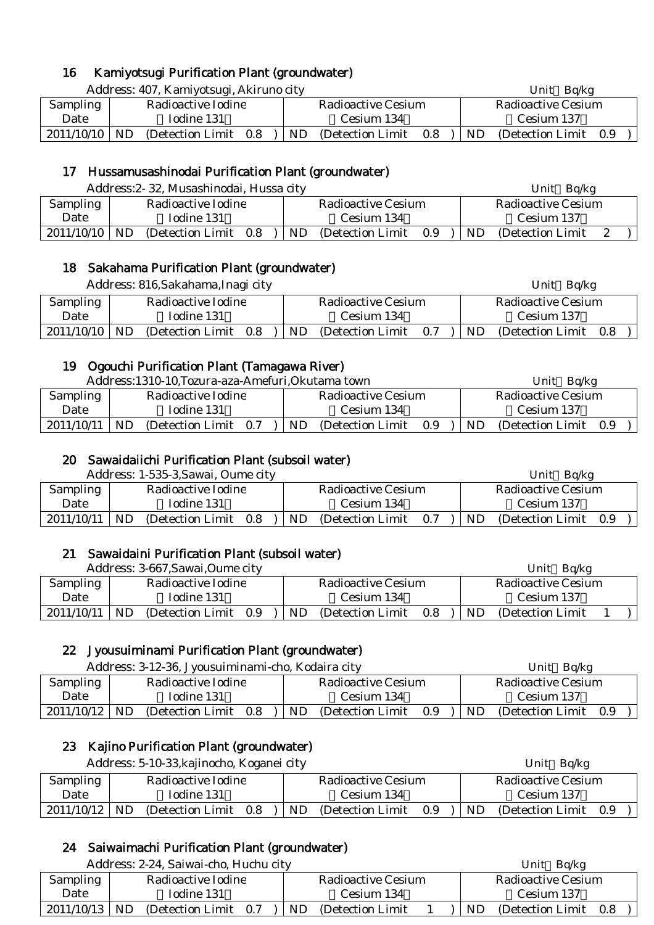# 16 Kamiyotsugi Purification Plant (groundwater)

Address: 407. Kamiyotsugi, Akiruno city Unit Bq/kg Unit Bq/kg

| Sampling        | Radioactive Iodine |     |  |     | Radioactive Cesium |     | Radioactive Cesium |                   |     |  |  |
|-----------------|--------------------|-----|--|-----|--------------------|-----|--------------------|-------------------|-----|--|--|
| Date            | Todine 131         |     |  |     | Cesium 134         |     |                    | Cesium 137        |     |  |  |
| $2011/10/10$ ND | (Detection Limit)  | 0.8 |  | ND. | (Detection Limit)  | 0.8 | ND                 | (Detection Limit) | 0.9 |  |  |

#### 17 Hussamusashinodai Purification Plant (groundwater)

|            |     | Address: 2-32, Musashinodai, Hussa city |     |  |    |                           |     |  | Ba/kg<br>Unit |                    |  |  |  |
|------------|-----|-----------------------------------------|-----|--|----|---------------------------|-----|--|---------------|--------------------|--|--|--|
| Sampling   |     | Radioactive Iodine                      |     |  |    | <b>Radioactive Cesium</b> |     |  |               | Radioactive Cesium |  |  |  |
| Date       |     | Iodine 131                              |     |  |    | Cesium 134                |     |  |               | Cesium 137         |  |  |  |
| 2011/10/10 | ND. | (Detection Limit)                       | 0.8 |  | ND | (Detection Limit)         | 0.9 |  | ND            | (Detection Limit)  |  |  |  |

#### 18 Sakahama Purification Plant (groundwater)

|                 |                    | Address: 816, Sakahama, Inagi city |     |  |                    |                   |     |            | Unit $Bq/kg$       |     |  |  |
|-----------------|--------------------|------------------------------------|-----|--|--------------------|-------------------|-----|------------|--------------------|-----|--|--|
| <b>Sampling</b> | Radioactive Iodine |                                    |     |  | Radioactive Cesium |                   |     |            | Radioactive Cesium |     |  |  |
| Date            |                    | Iodine 131                         |     |  |                    | Cesium 134        |     | Cesium 137 |                    |     |  |  |
| $2011/10/10$ ND |                    | (Detection Limit)                  | 0.8 |  | ND.                | (Detection Limit) | 0.7 | ND.        | (Detection Limit)  | 0.8 |  |  |

#### 19 Ogouchi Purification Plant (Tamagawa River)

|                 | Address:1310-10, Tozura-aza-Amefuri, Okutama town |     |                    |                   |     | Ba/kg<br>Unit |                    |     |  |  |
|-----------------|---------------------------------------------------|-----|--------------------|-------------------|-----|---------------|--------------------|-----|--|--|
| <b>Sampling</b> | Radioactive Iodine                                |     | Radioactive Cesium |                   |     |               | Radioactive Cesium |     |  |  |
| Date            | Iodine 131                                        |     | Cesium 134         |                   |     |               | Cesium 137         |     |  |  |
| 2011/10/11      | ND<br>(Detection Limit)                           | 0.7 | ND                 | (Detection Limit) | 0.9 | ND.           | (Detection Limit)  | 0.9 |  |  |

#### 20 Sawaidaiichi Purification Plant (subsoil water)

| Address: 1-535-3, Sawai, Oume city |                    |                   |     |                    |                   |            | Bq/kg<br>Unit |                       |  |  |  |
|------------------------------------|--------------------|-------------------|-----|--------------------|-------------------|------------|---------------|-----------------------|--|--|--|
| Sampling                           | Radioactive Iodine |                   |     | Radioactive Cesium |                   |            |               | Radioactive Cesium    |  |  |  |
| Date                               |                    | Iodine 131        |     |                    | Cesium 134        | Cesium 137 |               |                       |  |  |  |
| 2011/10/11                         | ND                 | (Detection Limit) | 0.8 | ND                 | (Detection Limit) | 0.7        | ND            | (Detection Limit 0.9) |  |  |  |

#### 21 Sawaidaini Purification Plant (subsoil water)

| Address: 3-667, Sawai, Oume city |                    |                   |     |                           |                   |     | Bg/kg<br>Unit |                    |  |  |  |
|----------------------------------|--------------------|-------------------|-----|---------------------------|-------------------|-----|---------------|--------------------|--|--|--|
| <b>Sampling</b>                  | Radioactive Iodine |                   |     | <b>Radioactive Cesium</b> |                   |     |               | Radioactive Cesium |  |  |  |
| Date                             |                    | Iodine 131        |     |                           | Cesium 134        |     | Cesium 137    |                    |  |  |  |
| 2011/10/11                       | ND                 | (Detection Limit) | 0.9 | <b>ND</b>                 | (Detection Limit) | 0.8 | ND            | (Detection Limit)  |  |  |  |

#### 22 Jyousuiminami Purification Plant (groundwater)

|                 |                    | Address: 3-12-36, Jyousuiminami-cho, Kodaira city |     |  |     |                    |            | Bg/kg<br>Unit      |                       |  |  |  |
|-----------------|--------------------|---------------------------------------------------|-----|--|-----|--------------------|------------|--------------------|-----------------------|--|--|--|
| Sampling        | Radioactive Iodine |                                                   |     |  |     | Radioactive Cesium |            | Radioactive Cesium |                       |  |  |  |
| Date            | Iodine 131         |                                                   |     |  |     | Cesium 134         | Cesium 137 |                    |                       |  |  |  |
| $2011/10/12$ ND |                    | (Detection Limit)                                 | 0.8 |  | ND. | (Detection Limit)  | 0.9        | ND.                | (Detection Limit 0.9) |  |  |  |

#### 23 Kajino Purification Plant (groundwater)

|                                | Address: 5-10-33, kajinocho, Koganei city |                   |         |  |                    |                   |     |  |                    | Unit $Bq/kg$          |  |  |  |  |
|--------------------------------|-------------------------------------------|-------------------|---------|--|--------------------|-------------------|-----|--|--------------------|-----------------------|--|--|--|--|
| Sampling<br>Radioactive Iodine |                                           |                   |         |  | Radioactive Cesium |                   |     |  | Radioactive Cesium |                       |  |  |  |  |
| Date                           |                                           | Iodine 131        |         |  | Cesium 134         |                   |     |  | Cesium 137         |                       |  |  |  |  |
| 2011/10/12                     | <b>ND</b>                                 | (Detection Limit) | $0.8$ ) |  | ND.                | (Detection Limit) | 0.9 |  | ND.                | (Detection Limit 0.9) |  |  |  |  |

# 24 Saiwaimachi Purification Plant (groundwater)

|            | Address: 2-24, Saiwai-cho, Huchu city |                                | Ba/kg<br>Jnit                  |
|------------|---------------------------------------|--------------------------------|--------------------------------|
| Sampling   | Radioactive Iodine                    | <b>Radioactive Cesium</b>      | Radioactive Cesium             |
| Date       | Iodine 131                            | Cesium 134                     | Cesium 137                     |
| 2011/10/13 | ND<br>(Detection Limit)<br>0.7        | <b>ND</b><br>(Detection Limit) | ND<br>(Detection Limit)<br>0.8 |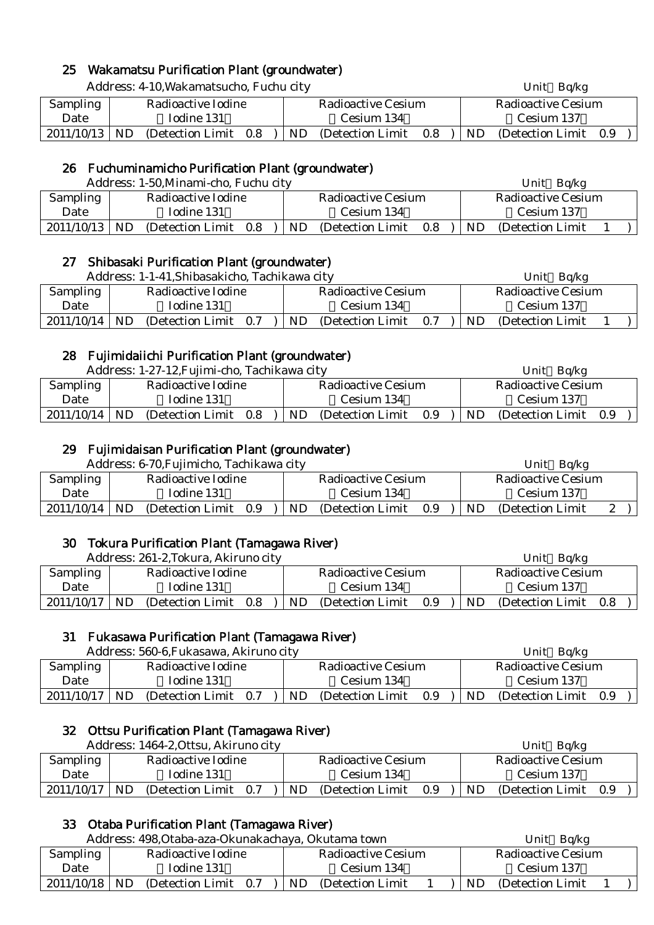## 25 Wakamatsu Purification Plant (groundwater)

|                 | Address: 4-10, Wakamatsucho, Fuchu city |                          |     |  |           |                           |                           | Unit $Bq/kg$ |                       |  |  |  |
|-----------------|-----------------------------------------|--------------------------|-----|--|-----------|---------------------------|---------------------------|--------------|-----------------------|--|--|--|
| Sampling        |                                         | Radioactive Iodine       |     |  |           | <b>Radioactive Cesium</b> | <b>Radioactive Cesium</b> |              |                       |  |  |  |
| Date            |                                         | Iodine 131<br>Cesium 134 |     |  |           |                           |                           |              | Cesium 137            |  |  |  |
| $2011/10/13$ ND |                                         | (Detection Limit)        | 0.8 |  | <b>ND</b> | (Detection Limit)         | 0.8                       | ND.          | (Detection Limit 0.9) |  |  |  |

#### 26 Fuchuminamicho Purification Plant (groundwater)

|                 |     | Address: 1-50, Minami-cho, Fuchu city |     |  |                    |                   |     |           | Bq/kg<br>Unit      |  |  |  |
|-----------------|-----|---------------------------------------|-----|--|--------------------|-------------------|-----|-----------|--------------------|--|--|--|
| <b>Sampling</b> |     | Radioactive Iodine                    |     |  | Radioactive Cesium |                   |     |           | Radioactive Cesium |  |  |  |
| Date            |     | Iodine 131                            |     |  |                    | Cesium 134        |     |           | Cesium 137         |  |  |  |
| 2011/10/13      | ND. | (Detection Limit)                     | 0.8 |  | <b>ND</b>          | (Detection Limit) | 0.8 | <b>ND</b> | (Detection Limit)  |  |  |  |

#### 27 Shibasaki Purification Plant (groundwater)

|                 | Address: 1-1-41, Shibasakicho, Tachikawa city |                                | Ba/kg<br>Unit                  |
|-----------------|-----------------------------------------------|--------------------------------|--------------------------------|
| Sampling        | Radioactive Iodine                            | Radioactive Cesium             | Radioactive Cesium             |
| Date            | Iodine 131                                    | Cesium 134                     | Cesium 137                     |
| $2011/10/14$ ND | (Detection Limit)<br>0.7                      | ND<br>0.7<br>(Detection Limit) | <b>ND</b><br>(Detection Limit) |

#### 28 Fujimidaiichi Purification Plant (groundwater)

|            |                          | Address: 1-27-12, Fujimi-cho, Tachikawa city |     |           |                    |     |                    | Bq/kg<br>Unit     |     |  |
|------------|--------------------------|----------------------------------------------|-----|-----------|--------------------|-----|--------------------|-------------------|-----|--|
| Sampling   |                          | Radioactive Iodine                           |     |           | Radioactive Cesium |     | Radioactive Cesium |                   |     |  |
| Date       | Iodine 131<br>Cesium 134 |                                              |     |           |                    |     | Cesium 137         |                   |     |  |
| 2011/10/14 | ND.                      | (Detection Limit)                            | 0.8 | <b>ND</b> | (Detection Limit)  | 0.9 | ND                 | (Detection Limit) | 0.9 |  |

#### 29 Fujimidaisan Purification Plant (groundwater)

|            |    | Address: 6-70, Fujimicho, Tachikawa city |     |     |                    |     |                    | Unit Bq/kg        |  |  |            |  |
|------------|----|------------------------------------------|-----|-----|--------------------|-----|--------------------|-------------------|--|--|------------|--|
| Sampling   |    | Radioactive Iodine                       |     |     | Radioactive Cesium |     | Radioactive Cesium |                   |  |  |            |  |
| Date       |    | Iodine 131                               |     |     | Cesium 134         |     |                    |                   |  |  | Cesium 137 |  |
| 2011/10/14 | ND | (Detection Limit)                        | 0.9 | ND. | (Detection Limit)  | 0.9 | ND.                | (Detection Limit) |  |  |            |  |

#### 30 Tokura Purification Plant (Tamagawa River)

|            |                          | Address: 261-2, Tokura, Akiruno city |     |    |                           |     |  | Ba/kg<br>Unit |                    |       |  |  |
|------------|--------------------------|--------------------------------------|-----|----|---------------------------|-----|--|---------------|--------------------|-------|--|--|
| Sampling   |                          | Radioactive Iodine                   |     |    | <b>Radioactive Cesium</b> |     |  |               | Radioactive Cesium |       |  |  |
| Date       | Iodine 131<br>Cesium 134 |                                      |     |    |                           |     |  | Cesium 137    |                    |       |  |  |
| 2011/10/17 | ND                       | (Detection Limit)                    | 0.8 | ND | (Detection Limit)         | 0.9 |  | ND            | (Detection Limit)  | - 0.8 |  |  |

#### 31 Fukasawa Purification Plant (Tamagawa River)

|            |    | Address: 560-6, Fukasawa, Akiruno city |     |    |                    |     | Ba/kg<br>Unit      |                   |     |  |  |
|------------|----|----------------------------------------|-----|----|--------------------|-----|--------------------|-------------------|-----|--|--|
| Sampling   |    | Radioactive Iodine                     |     |    | Radioactive Cesium |     | Radioactive Cesium |                   |     |  |  |
| Date       |    | Iodine 131                             |     |    | Cesium 134         |     |                    | Cesium 137        |     |  |  |
| 2011/10/17 | ND | (Detection Limit)                      | 0.7 | ND | (Detection Limit)  | 0.9 | ND                 | (Detection Limit) | 0.9 |  |  |

#### 32 Ottsu Purification Plant (Tamagawa River)

Address: 1464-2, Ottsu, Akiruno city Unit Bq/kg Sampling Date Radioactive Iodine Iodine 131 Radioactive Cesium Cesium 134 Radioactive Cesium Cesium 137  $2011/10/17$  ND (Detection Limit 0.7 ) ND (Detection Limit 0.9 ) ND (Detection Limit 0.9

#### 33 Otaba Purification Plant (Tamagawa River)

|            | Address: 498, Otaba-aza-Okunakachaya, Okutama town |                   |     |                    |                   |  |            |                    | Ba/kg<br>Unit     |  |  |
|------------|----------------------------------------------------|-------------------|-----|--------------------|-------------------|--|------------|--------------------|-------------------|--|--|
| Sampling   | Radioactive Iodine                                 |                   |     | Radioactive Cesium |                   |  |            | Radioactive Cesium |                   |  |  |
| Date       | Iodine 131<br>Cesium 134                           |                   |     |                    |                   |  | Cesium 137 |                    |                   |  |  |
| 2011/10/18 | ND                                                 | (Detection Limit) | 0.7 | ND                 | (Detection Limit) |  |            | ND.                | (Detection Limit) |  |  |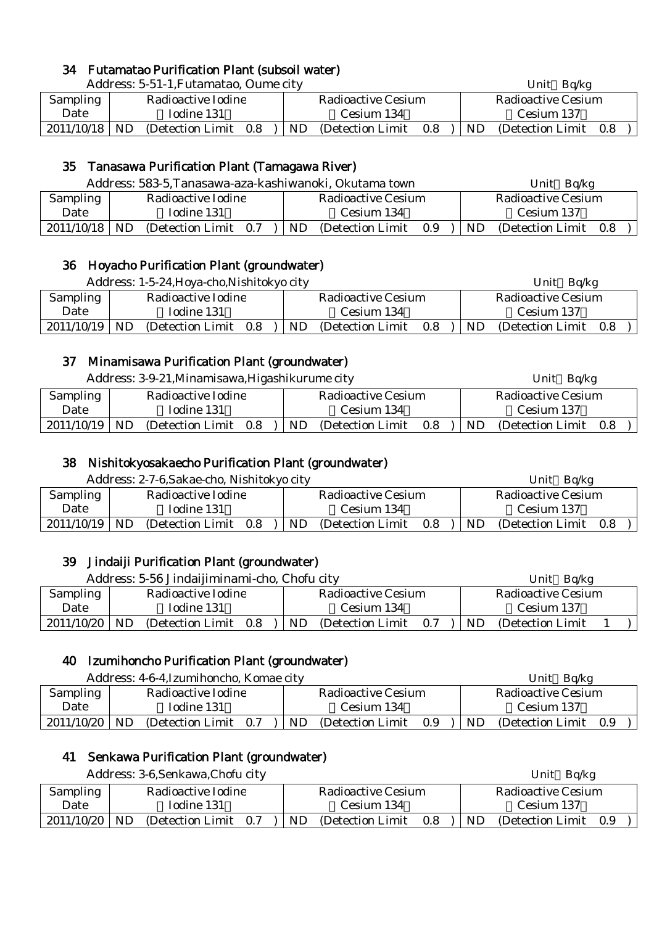#### 34 Futamatao Purification Plant (subsoil water)

|                 | Address: 5-51-1, Futamatao, Oume city |  |            |                    |                    | Ba/kg<br>Unit |                       |  |  |  |
|-----------------|---------------------------------------|--|------------|--------------------|--------------------|---------------|-----------------------|--|--|--|
| Sampling        | Radioactive Iodine                    |  |            | Radioactive Cesium | Radioactive Cesium |               |                       |  |  |  |
| Date            | Iodine 131                            |  | Cesium 134 |                    |                    |               | Cesium 137            |  |  |  |
| $2011/10/18$ ND | (Detection Limit 0.8)                 |  | ND.        | (Detection Limit)  | 0.8                | ND.           | (Detection Limit 0.8) |  |  |  |

# 35 Tanasawa Purification Plant (Tamagawa River)

|            | Address: 583-5, Tanasawa-aza-kashiwanoki, Okutama town |                       |  |            |                           |     |  |                           | Unit $Bq/kg$          |  |  |  |
|------------|--------------------------------------------------------|-----------------------|--|------------|---------------------------|-----|--|---------------------------|-----------------------|--|--|--|
| Sampling   |                                                        | Radioactive Iodine    |  |            | <b>Radioactive Cesium</b> |     |  | <b>Radioactive Cesium</b> |                       |  |  |  |
| Date       | Iodine 131                                             |                       |  | Cesium 134 |                           |     |  |                           | Cesium 137            |  |  |  |
| 2011/10/18 | ND.                                                    | (Detection Limit 0.7) |  | ND.        | (Detection Limit)         | 0.9 |  | ND.                       | (Detection Limit 0.8) |  |  |  |

#### 36 Hoyacho Purification Plant (groundwater)

|            | Address: 1-5-24, Hoya-cho, Nishitokyo city |                   |     |  |     |                           | Unit $Bq/kg$ |                    |                   |     |  |
|------------|--------------------------------------------|-------------------|-----|--|-----|---------------------------|--------------|--------------------|-------------------|-----|--|
| Sampling   | Radioactive Iodine                         |                   |     |  |     | <b>Radioactive Cesium</b> |              | Radioactive Cesium |                   |     |  |
| Date       |                                            | Iodine 131        |     |  |     | Cesium 134                |              |                    | Cesium 137        |     |  |
| 2011/10/19 | <b>ND</b>                                  | (Detection Limit) | 0.8 |  | ND. | (Detection Limit)         | 0.8          | ND.                | (Detection Limit) | 0.8 |  |

#### 37 Minamisawa Purification Plant (groundwater)

|                                               |  | Address: 3-9-21, Minamisawa, Higashikurume city |  |  |     |                    |     |     | Unit $Bq/kg$              |  |
|-----------------------------------------------|--|-------------------------------------------------|--|--|-----|--------------------|-----|-----|---------------------------|--|
| Sampling                                      |  | Radioactive Iodine                              |  |  |     | Radioactive Cesium |     |     | <b>Radioactive Cesium</b> |  |
| Date                                          |  | Iodine 131                                      |  |  |     | Cesium 134         |     |     | Cesium 137                |  |
| 2011/10/19<br>ND.<br>(Detection Limit)<br>0.8 |  |                                                 |  |  | ND. | (Detection Limit)  | 0.8 | ND. | (Detection Limit 0.8)     |  |

# 38 Nishitokyosakaecho Purification Plant (groundwater)

Address: 2-7-6,Sakae-cho, Nishitokyo city Unit Bq/kg

| <b>Sampling</b> |    | Radioactive Iodine |     |     | Radioactive Cesium |     |    | Radioactive Cesium |     |
|-----------------|----|--------------------|-----|-----|--------------------|-----|----|--------------------|-----|
| Date            |    | Iodine 131         |     |     | Cesium 134         |     |    | Cesium 137         |     |
| 2011/10/19      | ND | (Detection Limit)  | 0.8 | ND. | (Detection Limit)  | 0.8 | ND | (Detection Limit)  | 0.8 |

#### 39 Jindaiji Purification Plant (groundwater)

|                                |                                       | Address: 5-56 Jindaijiminami-cho, Chofu city |  |  |     |                    |     |     | Ba/kg<br>Unit      |  |
|--------------------------------|---------------------------------------|----------------------------------------------|--|--|-----|--------------------|-----|-----|--------------------|--|
| Radioactive Iodine<br>Sampling |                                       |                                              |  |  |     | Radioactive Cesium |     |     | Radioactive Cesium |  |
| Date                           | Iodine 131                            |                                              |  |  |     | Cesium 134         |     |     | Cesium 137         |  |
| 2011/10/20                     | <b>ND</b><br>(Detection Limit)<br>0.8 |                                              |  |  | ND. | (Detection Limit)  | 0.7 | ND. | (Detection Limit)  |  |

# 40 Izumihoncho Purification Plant (groundwater)

|            |            | Address: 4-6-4, Izumihoncho, Komae city |     |     |                    |     |    | Unit<br>Ba/kg      |     |  |
|------------|------------|-----------------------------------------|-----|-----|--------------------|-----|----|--------------------|-----|--|
| Sampling   |            | Radioactive Iodine                      |     |     | Radioactive Cesium |     |    | Radioactive Cesium |     |  |
| Date       | Iodine 131 |                                         |     |     | Cesium 134         |     |    | Cesium 137         |     |  |
| 2011/10/20 | <b>ND</b>  | (Detection Limit)                       | 0.7 | ND. | (Detection Limit)  | 0.9 | ND | (Detection Limit)  | 0.9 |  |

#### 41 Senkawa Purification Plant (groundwater)

|            |     | Address: 3-6, Senkawa, Chofu city |     |     |                    |     |     | Unit Bq/kg            |  |  |
|------------|-----|-----------------------------------|-----|-----|--------------------|-----|-----|-----------------------|--|--|
| Sampling   |     | Radioactive Iodine                |     |     | Radioactive Cesium |     |     | Radioactive Cesium    |  |  |
| Date       |     | Iodine 131                        |     |     | Cesium 134         |     |     | Cesium 137            |  |  |
| 2011/10/20 | ND. | (Detection Limit)                 | 0.7 | ND. | (Detection Limit)  | 0.8 | ND. | (Detection Limit 0.9) |  |  |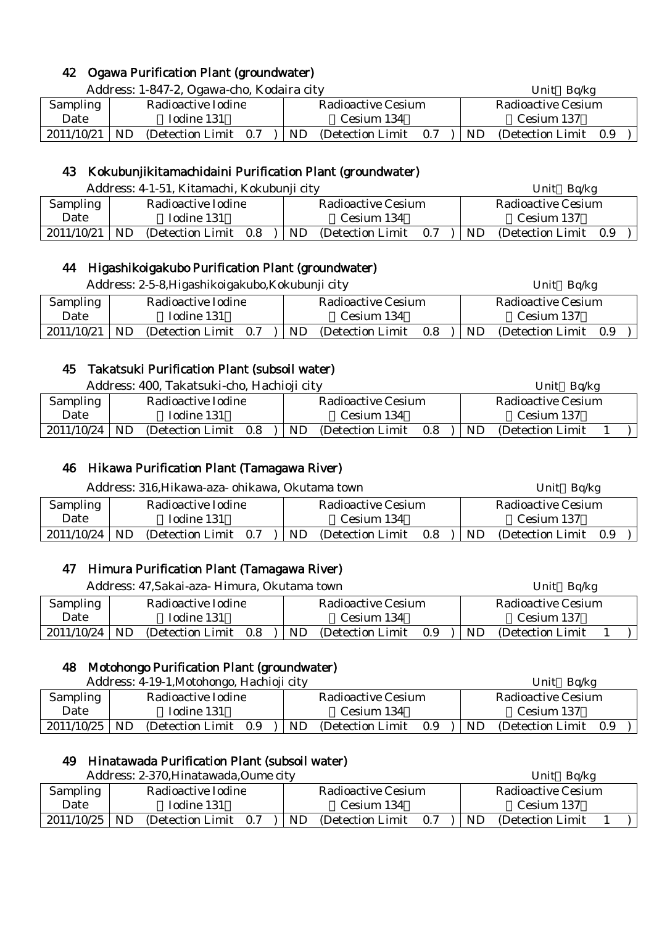## 42 Ogawa Purification Plant (groundwater)

Address: 1-847-2, Ogawa-cho, Kodaira city Unit Bq/kg

| <b>Sampling</b> | Radioactive Iodine          | Radioactive Cesium                                  | Radioactive Cesium    |
|-----------------|-----------------------------|-----------------------------------------------------|-----------------------|
| Date            | Iodine 131                  | Cesium 134                                          | Cesium 137            |
| 2011/10/21      | ND<br>(Detection Limit 0.7) | $ \text{ND}(\text{Detection Limit } 0.7) \text{ND}$ | (Detection Limit 0.9) |

## 43 Kokubunjikitamachidaini Purification Plant (groundwater)

Address: 4-1-51, Kitamachi, Kokubunji city Unit Bq/kg

| Sampling   |           | Radioactive Iodine |     |    | Radioactive Cesium |     |           | Radioactive Cesium    |  |
|------------|-----------|--------------------|-----|----|--------------------|-----|-----------|-----------------------|--|
| Date       |           | Iodine 131         |     |    | Cesium 134         |     |           | Cesium 137            |  |
| 2011/10/21 | <b>ND</b> | (Detection Limit)  | 0.8 | ND | (Detection Limit)  | 0.7 | <b>ND</b> | (Detection Limit 0.9) |  |

#### 44 Higashikoigakubo Purification Plant (groundwater)

|            |                                | Address: 2-5-8, Higashikoigakubo, Kokubunji city |  |  |     |                    |     |     | Unit $Bq/kg$              |     |  |
|------------|--------------------------------|--------------------------------------------------|--|--|-----|--------------------|-----|-----|---------------------------|-----|--|
| Sampling   |                                | Radioactive Iodine                               |  |  |     | Radioactive Cesium |     |     | <b>Radioactive Cesium</b> |     |  |
| Date       | Iodine 131                     |                                                  |  |  |     | Cesium 134         |     |     | Cesium 137                |     |  |
| 2011/10/21 | ND<br>(Detection Limit)<br>0.7 |                                                  |  |  | ND. | (Detection Limit)  | 0.8 | ND. | (Detection Limit)         | 0.9 |  |

#### 45 Takatsuki Purification Plant (subsoil water)

Address: 400, Takatsuki-cho, Hachioji city Unit Bq/kg

|                 |           | Tradi css. Too, Tanaisani cho, Tiachioji chev |     |     |                    |     | <b>CHIL</b><br>$\mathbf{L}$ |                    |  |  |  |
|-----------------|-----------|-----------------------------------------------|-----|-----|--------------------|-----|-----------------------------|--------------------|--|--|--|
| <b>Sampling</b> |           | Radioactive Iodine                            |     |     | Radioactive Cesium |     |                             | Radioactive Cesium |  |  |  |
| Date            |           | Iodine 131                                    |     |     | Cesium 134         |     |                             | Cesium 137         |  |  |  |
| 2011/10/24      | <b>ND</b> | (Detection Limit)                             | 0.8 | ND. | (Detection Limit)  | 0.8 | ND                          | (Detection Limit)  |  |  |  |

# 46 Hikawa Purification Plant (Tamagawa River)

|                                                     |  | Address: 316, Hikawa-aza- ohikawa, Okutama town |  |            |                    |     |            | Unit $Bq/kg$              |  |
|-----------------------------------------------------|--|-------------------------------------------------|--|------------|--------------------|-----|------------|---------------------------|--|
| Sampling                                            |  | Radioactive Iodine                              |  |            | Radioactive Cesium |     |            | <b>Radioactive Cesium</b> |  |
| Date                                                |  | Iodine 131                                      |  | Cesium 134 |                    |     | Cesium 137 |                           |  |
| 2011/10/24<br><b>ND</b><br>(Detection Limit)<br>0.7 |  |                                                 |  |            | (Detection Limit)  | 0.8 | ND.        | (Detection Limit 0.9)     |  |

#### 47 Himura Purification Plant (Tamagawa River)

|                                               |            | Address: 47, Sakai-aza - Himura, Okutama town |  |  |           |                           |     |     | Unit Bq/kg                |  |
|-----------------------------------------------|------------|-----------------------------------------------|--|--|-----------|---------------------------|-----|-----|---------------------------|--|
| <b>Sampling</b><br>Radioactive Iodine         |            |                                               |  |  |           | <b>Radioactive Cesium</b> |     |     | <b>Radioactive Cesium</b> |  |
| Date                                          | Iodine 131 |                                               |  |  |           | Cesium 134                |     |     | Cesium 137                |  |
| 2011/10/24<br>ND.<br>(Detection Limit)<br>0.8 |            |                                               |  |  | <b>ND</b> | (Detection Limit)         | 0.9 | ND. | (Detection Limit)         |  |

#### 48 Motohongo Purification Plant (groundwater)

|                                                   |            | Address: 4-19-1, Motohongo, Hachioji city |  |           |                           |     |     | Ba/kg<br>Unit      |     |
|---------------------------------------------------|------------|-------------------------------------------|--|-----------|---------------------------|-----|-----|--------------------|-----|
| Sampling<br>Radioactive Iodine                    |            |                                           |  |           | <b>Radioactive Cesium</b> |     |     | Radioactive Cesium |     |
| Date                                              | Iodine 131 |                                           |  |           | Cesium 134                |     |     | Cesium 137         |     |
| 2011/10/25<br>ND.<br>(Detection Limit)<br>$0.9\,$ |            |                                           |  | <b>ND</b> | (Detection Limit)         | 0.9 | ND. | (Detection Limit)  | 0.9 |

#### 49 Hinatawada Purification Plant (subsoil water)

|                    |  | Address: 2-370, Hinatawada, Oume city |  |                                                       |    | Unit $Bq/kg$       |  |
|--------------------|--|---------------------------------------|--|-------------------------------------------------------|----|--------------------|--|
| Sampling           |  | Radioactive Iodine                    |  | Radioactive Cesium                                    |    | Radioactive Cesium |  |
| Date<br>Iodine 131 |  |                                       |  | Cesium 134                                            |    | Cesium 137         |  |
| $2011/10/25$ ND    |  | (Detection Limit 0.7)                 |  | $ \text{ND} \quad \text{(Detection Limit} \quad 0.7)$ | ND | (Detection Limit)  |  |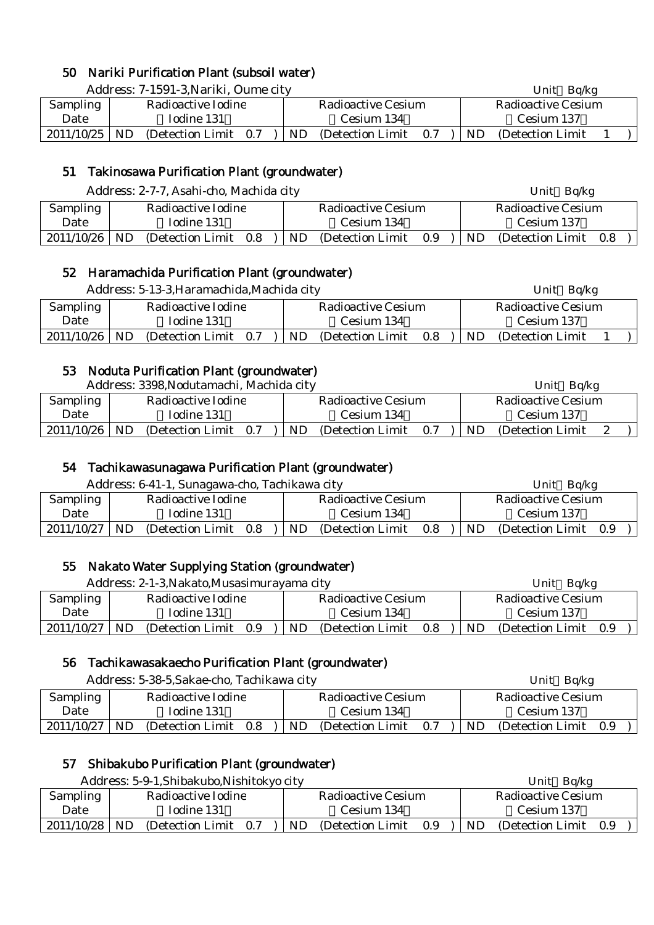## 50 Nariki Purification Plant (subsoil water)

Address: 7-1591-3, Nariki, Oume city **Address: 7-1591-3, Nariki, Oume city** Unit Bq/kg

| Sampling   |    | Radioactive Iodine    |    | Radioactive Cesium |     |    | Radioactive Cesium |  |
|------------|----|-----------------------|----|--------------------|-----|----|--------------------|--|
| Date       |    | Iodine 131            |    | Cesium 134         |     |    | Cesium 137         |  |
| 2011/10/25 | ND | (Detection Limit 0.7) | ND | (Detection Limit)  | 0.7 | ND | (Detection Limit)  |  |

## 51 Takinosawa Purification Plant (groundwater)

Address: 2-7-7, Asahi-cho, Machida city Unit Bq/kg

| $\ldots$           |           |                    |     |  |            |                           |     |            | U                         |     |  |
|--------------------|-----------|--------------------|-----|--|------------|---------------------------|-----|------------|---------------------------|-----|--|
| <b>Sampling</b>    |           | Radioactive Iodine |     |  |            | <b>Radioactive Cesium</b> |     |            | <b>Radioactive Cesium</b> |     |  |
| Date<br>Iodine 131 |           |                    |     |  | Cesium 134 |                           |     | Cesium 137 |                           |     |  |
| 2011/10/26         | <b>ND</b> | (Detection Limit)  | 0.8 |  | ND.        | (Detection Limit)         | 0.9 | ND.        | (Detection Limit)         | 0.8 |  |

#### 52 Haramachida Purification Plant (groundwater)

|            |     | Address: 5-13-3, Haramachida, Machida city |     |    |                           |     |     | Unit $Bq/kg$              |  |
|------------|-----|--------------------------------------------|-----|----|---------------------------|-----|-----|---------------------------|--|
| Sampling   |     | Radioactive Iodine                         |     |    | <b>Radioactive Cesium</b> |     |     | <b>Radioactive Cesium</b> |  |
| Date       |     | Iodine 131                                 |     |    | Cesium 134                |     |     | Cesium 137                |  |
| 2011/10/26 | ND. | (Detection Limit)                          | 0.7 | ND | (Detection Limit)         | 0.8 | ND. | (Detection Limit)         |  |

#### 53 Noduta Purification Plant (groundwater)

Address: 3398, Nodutamachi, Machida city **Example 2018** Unit Bq/kg

| Audress. 9990,Pouguaniaem, Macmua City |    |                   |     |    |                    |     |           | UIIIU<br>שמו שכ    |  |
|----------------------------------------|----|-------------------|-----|----|--------------------|-----|-----------|--------------------|--|
| Sampling<br>Radioactive Iodine         |    |                   |     |    | Radioactive Cesium |     |           | Radioactive Cesium |  |
| Iodine 131<br>Date                     |    |                   |     |    | Cesium 134         |     |           | Cesium 137         |  |
| 2011/10/26                             | ND | (Detection Limit) | 0.7 | ND | (Detection Limit)  | 0.7 | <b>ND</b> | (Detection Limit)  |  |

#### 54 Tachikawasunagawa Purification Plant (groundwater)

|            |            | Address: 6-41-1, Sunagawa-cho, Tachikawa city |     |  |    |                           |     |     | Unit $Bq/kg$       |     |
|------------|------------|-----------------------------------------------|-----|--|----|---------------------------|-----|-----|--------------------|-----|
| Sampling   |            | Radioactive Iodine                            |     |  |    | <b>Radioactive Cesium</b> |     |     | Radioactive Cesium |     |
| Date       | Iodine 131 |                                               |     |  |    | Cesium 134                |     |     | Cesium 137         |     |
| 2011/10/27 | ND         | (Detection Limit)                             | 0.8 |  | ND | (Detection Limit)         | 0.8 | ND. | (Detection Limit)  | 0.9 |

#### 55 Nakato Water Supplying Station (groundwater)

|                 | Address: 2-1-3, Nakato, Musasimurayama city |                    |     |     |                    |     |     | Unit $Bq/kg$          |  |  |  |
|-----------------|---------------------------------------------|--------------------|-----|-----|--------------------|-----|-----|-----------------------|--|--|--|
| <b>Sampling</b> |                                             | Radioactive Iodine |     |     | Radioactive Cesium |     |     | Radioactive Cesium    |  |  |  |
| Date            | Iodine 131<br>Cesium 134                    |                    |     |     |                    |     |     | Cesium 137            |  |  |  |
| 2011/10/27      | ND                                          | (Detection Limit)  | 0.9 | ND. | (Detection Limit)  | 0.8 | ND. | (Detection Limit 0.9) |  |  |  |

#### 56 Tachikawasakaecho Purification Plant (groundwater)

|            |            | Address: 5-38-5, Sakae-cho, Tachikawa city |     |  |     |                    |     |     | Unit $Bq/kg$       |     |
|------------|------------|--------------------------------------------|-----|--|-----|--------------------|-----|-----|--------------------|-----|
| Sampling   |            | Radioactive Iodine                         |     |  |     | Radioactive Cesium |     |     | Radioactive Cesium |     |
| Date       | Iodine 131 |                                            |     |  |     | Cesium 134         |     |     | Cesium 137         |     |
| 2011/10/27 | ND.        | (Detection Limit)                          | 0.8 |  | ND. | (Detection Limit)  | 0.7 | ND. | (Detection Limit)  | 0.9 |

# 57 Shibakubo Purification Plant (groundwater)

|            |            | Address: 5-9-1, Shibakubo, Nishitokyo city |     |    |                    |     |    | Ba/kg<br>Unit      |     |
|------------|------------|--------------------------------------------|-----|----|--------------------|-----|----|--------------------|-----|
| Sampling   |            | Radioactive Iodine                         |     |    | Radioactive Cesium |     |    | Radioactive Cesium |     |
| Date       | Iodine 131 |                                            |     |    | Cesium 134         |     |    | Cesium 137         |     |
| 2011/10/28 | ND         | (Detection Limit)                          | 0.7 | ND | (Detection Limit)  | 0.9 | ND | (Detection Limit)  | 0.9 |